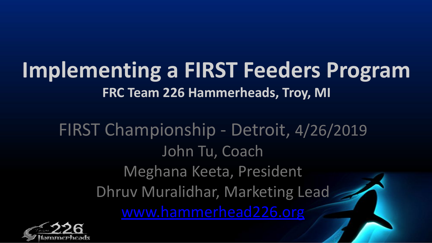#### **Implementing a FIRST Feeders Program FRC Team 226 Hammerheads, Troy, MI**

FIRST Championship - Detroit, 4/26/2019 John Tu, Coach Meghana Keeta, President Dhruv Muralidhar, Marketing Lead

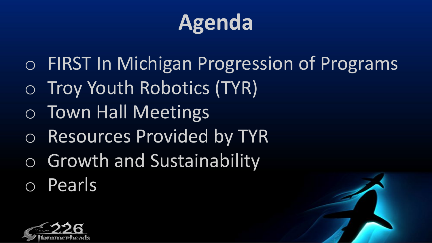## **Agenda**

- o FIRST In Michigan Progression of Programs
- o Troy Youth Robotics (TYR)
- o Town Hall Meetings
- o Resources Provided by TYR
- o Growth and Sustainability
- o Pearls



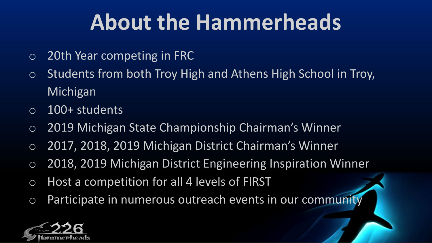### **About the Hammerheads**

- o 20th Year competing in FRC
- o Students from both Troy High and Athens High School in Troy, Michigan
- o 100+ students
- o 2019 Michigan State Championship Chairman's Winner
- o 2017, 2018, 2019 Michigan District Chairman's Winner
- o 2018, 2019 Michigan District Engineering Inspiration Winner
- o Host a competition for all 4 levels of FIRST
- o Participate in numerous outreach events in our community

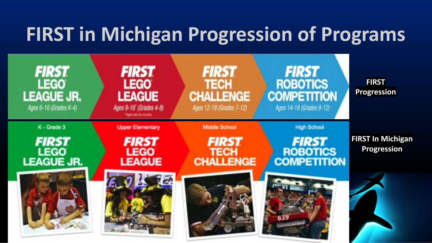#### **FIRST in Michigan Progression of Programs**

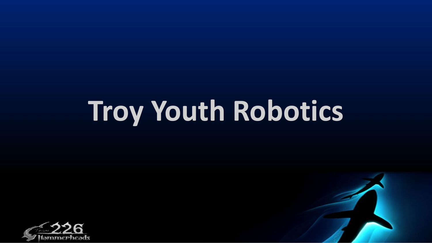# **Troy Youth Robotics**



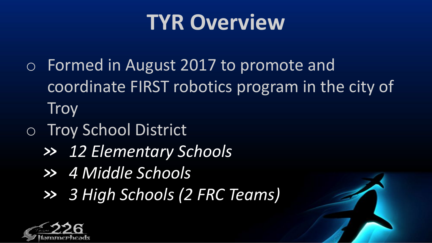#### **TYR Overview**

- o Formed in August 2017 to promote and coordinate FIRST robotics program in the city of **Troy**
- o Troy School District
	- *» 12 Elementary Schools*
	- *» 4 Middle Schools*
	- *» 3 High Schools (2 FRC Teams)*



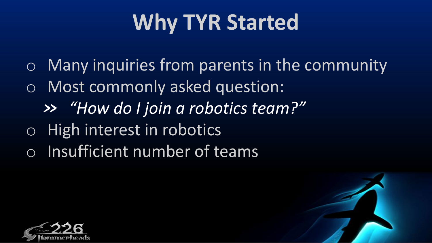# **Why TYR Started**

- o Many inquiries from parents in the community
- o Most commonly asked question:
	- *» "How do I join a robotics team?"*
- o High interest in robotics
- o Insufficient number of teams



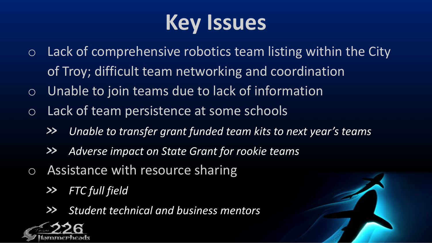# **Key Issues**

- $\circ$  Lack of comprehensive robotics team listing within the City of Troy; difficult team networking and coordination
- o Unable to join teams due to lack of information
- o Lack of team persistence at some schools
	- *» Unable to transfer grant funded team kits to next year's teams*
	- *» Adverse impact on State Grant for rookie teams*
- o Assistance with resource sharing
	- *» FTC full field*
	- *» Student technical and business mentors*



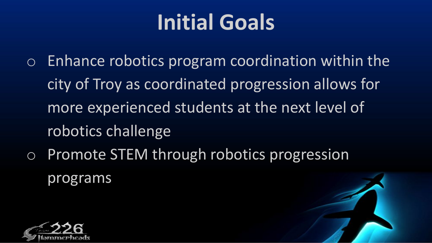#### **Initial Goals**

- $\circ$  Enhance robotics program coordination within the city of Troy as coordinated progression allows for more experienced students at the next level of robotics challenge
- o Promote STEM through robotics progression programs



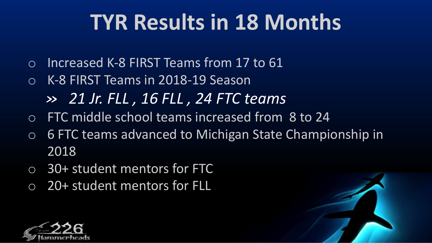### **TYR Results in 18 Months**

- o Increased K-8 FIRST Teams from 17 to 61
- o K-8 FIRST Teams in 2018-19 Season
	- *» 21 Jr. FLL , 16 FLL , 24 FTC teams*
- o FTC middle school teams increased from 8 to 24
- o 6 FTC teams advanced to Michigan State Championship in 2018
- o 30+ student mentors for FTC
- o 20+ student mentors for FLL

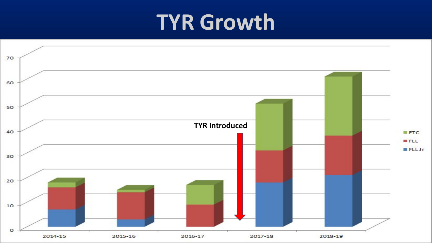#### **TYR Growth**

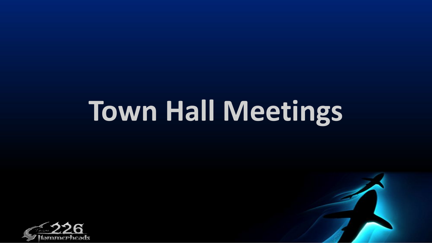# **Town Hall Meetings**



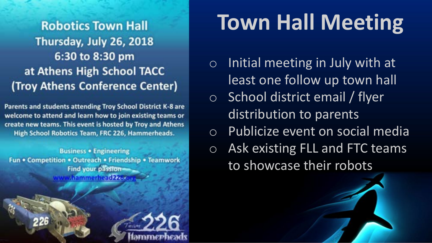**Robotics Town Hall** Thursday, July 26, 2018 6:30 to 8:30 pm at Athens High School TACC (Troy Athens Conference Center)

Parents and students attending Troy School District K-8 are welcome to attend and learn how to join existing teams or create new teams. This event is hosted by Troy and Athens High School Robotics Team, FRC 226, Hammerheads.

**Business • Engineering** Fun . Competition . Outreach . Friendship . Teamwork Find your passionwww.hammerhead226.or

# **Town Hall Meeting**

- $\circ$  Initial meeting in July with at least one follow up town hall
- o School district email / flyer distribution to parents
- o Publicize event on social media
- o Ask existing FLL and FTC teams to showcase their robots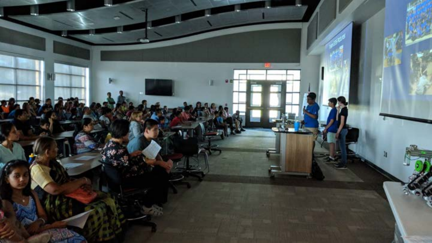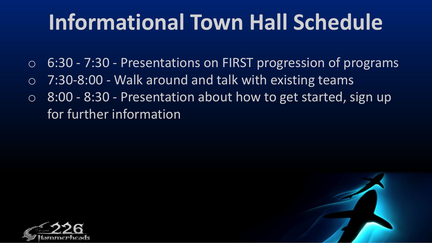## **Informational Town Hall Schedule**

- o 6:30 7:30 Presentations on FIRST progression of programs
- 7:30-8:00 Walk around and talk with existing teams
- $\circ$  8:00 8:30 Presentation about how to get started, sign up for further information



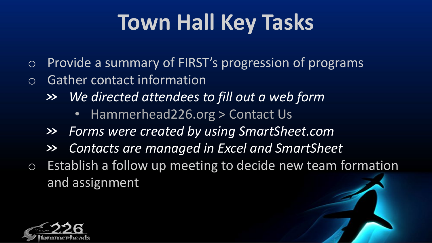## **Town Hall Key Tasks**

- o Provide a summary of FIRST's progression of programs
- o Gather contact information
	- *» We directed attendees to fill out a web form*
		- Hammerhead226.org > Contact Us
	- *» Forms were created by using SmartSheet.com*
	- *» Contacts are managed in Excel and SmartSheet*
- o Establish a follow up meeting to decide new team formation and assignment

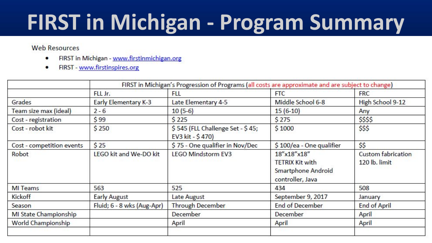## **FIRST in Michigan - Program Summary**

**Web Resources** 

- FIRST in Michigan www.firstinmichigan.org  $\bullet$
- FIRST www.firstinspires.org  $\bullet$

|                           | FIRST in Michigan's Progression of Programs (all costs are approximate and are subject to change) |                                                      |                                                                                        |                                            |
|---------------------------|---------------------------------------------------------------------------------------------------|------------------------------------------------------|----------------------------------------------------------------------------------------|--------------------------------------------|
|                           | FLL Jr.                                                                                           | <b>FLL</b>                                           | <b>FTC</b>                                                                             | <b>FRC</b>                                 |
| Grades                    | Early Elementary K-3                                                                              | Late Elementary 4-5                                  | Middle School 6-8                                                                      | High School 9-12                           |
| Team size max (ideal)     | $2 - 6$                                                                                           | $10(5-6)$                                            | $15(6-10)$                                                                             | Any                                        |
| Cost - registration       | \$99                                                                                              | \$225                                                | \$275                                                                                  | \$\$\$\$                                   |
| Cost - robot kit          | \$250                                                                                             | \$545 (FLL Challenge Set - \$45;<br>EV3 kit - \$470) | \$1000                                                                                 | \$\$\$                                     |
| Cost - competition events | \$25                                                                                              | \$75 - One qualifier in Nov/Dec                      | \$100/ea - One qualifier                                                               | \$\$                                       |
| Robot                     | LEGO kit and We-DO kit                                                                            | <b>LEGO Mindstorm EV3</b>                            | 18"x18"x18"<br><b>TETRIX Kit with</b><br><b>Smartphone Android</b><br>controller, Java | <b>Custom fabrication</b><br>120 lb. limit |
| <b>MI</b> Teams           | 563                                                                                               | 525                                                  | 434                                                                                    | 508                                        |
| Kickoff                   | Early August                                                                                      | Late August                                          | September 9, 2017                                                                      | January                                    |
| Season                    | Fluid; 6 - 8 wks (Aug-Apr)                                                                        | <b>Through December</b>                              | <b>End of December</b>                                                                 | End of April                               |
| MI State Championship     |                                                                                                   | December                                             | December                                                                               | April                                      |
| World Championship        |                                                                                                   | April                                                | April                                                                                  | April                                      |
|                           |                                                                                                   |                                                      |                                                                                        |                                            |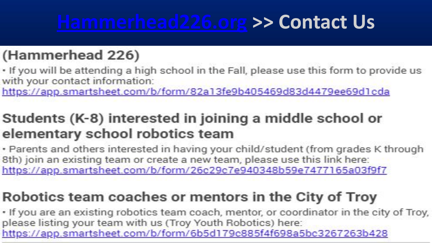#### **[Hammerhead226.org](http://www.hammerhead226.org/) >> Contact Us**

#### (Hammerhead 226)

. If you will be attending a high school in the Fall, please use this form to provide us with your contact information:

https://app.smartsheet.com/b/form/82a13fe9b405469d83d4479ee69d1cda

#### Students (K-8) interested in joining a middle school or elementary school robotics team

. Parents and others interested in having your child/student (from grades K through 8th) join an existing team or create a new team, please use this link here: https://app.smartsheet.com/b/form/26c29c7e940348b59e7477165a03f9f7

#### Robotics team coaches or mentors in the City of Troy

. If you are an existing robotics team coach, mentor, or coordinator in the city of Troy, please listing your team with us (Troy Youth Robotics) here: https://app.smartsheet.com/b/form/6b5d179c885f4f698a5bc3267263b428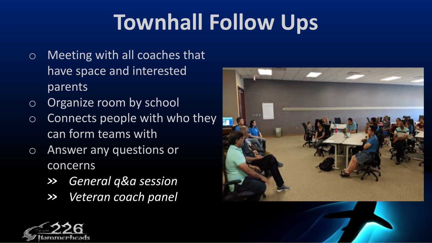# **Townhall Follow Ups**

- o Meeting with all coaches that have space and interested parents
- o Organize room by school
- $\circ$  Connects people with who they can form teams with
- o Answer any questions or concerns
	- *» General q&a session*
	- *» Veteran coach panel*



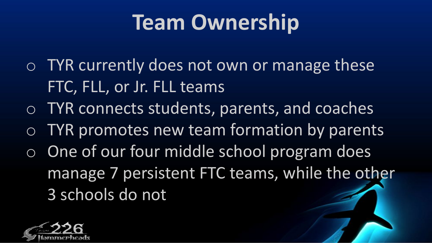# **Team Ownership**

- o TYR currently does not own or manage these FTC, FLL, or Jr. FLL teams
- o TYR connects students, parents, and coaches
- $\circ$  TYR promotes new team formation by parents
- o One of our four middle school program does manage 7 persistent FTC teams, while the other 3 schools do not

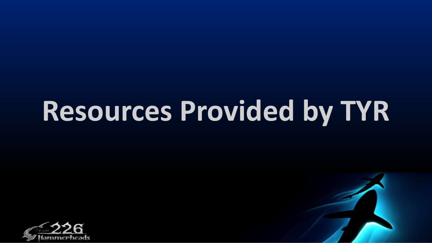# **Resources Provided by TYR**



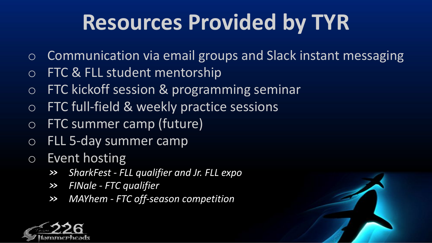#### **Resources Provided by TYR**

- $\circ$  Communication via email groups and Slack instant messaging
- o FTC & FLL student mentorship
- o FTC kickoff session & programming seminar
- o FTC full-field & weekly practice sessions
- o FTC summer camp (future)
- o FLL 5-day summer camp
- o Event hosting
	- *» SharkFest FLL qualifier and Jr. FLL expo*
	- *» FINale FTC qualifier*
	- *» MAYhem FTC off-season competition*



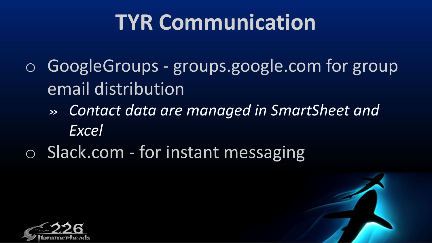## **TYR Communication**

- o GoogleGroups groups.google.com for group email distribution
	- *» Contact data are managed in SmartSheet and Excel*
- o Slack.com for instant messaging

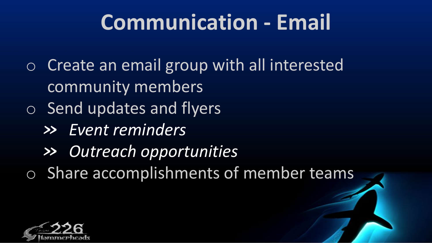## **Communication - Email**

- $\circ$  Create an email group with all interested community members
- o Send updates and flyers
	- *» Event reminders*
	- *» Outreach opportunities*
- o Share accomplishments of member teams

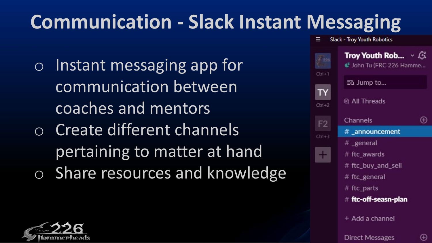#### **Communication - Slack Instant Messaging**

- o Instant messaging app for communication between coaches and mentors
- o Create different channels pertaining to matter at hand
- o Share resources and knowledge



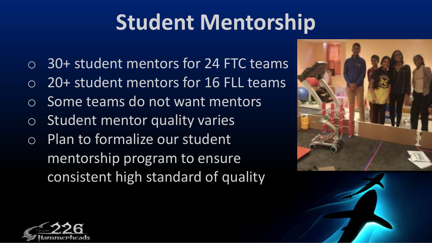# **Student Mentorship**

- 30+ student mentors for 24 FTC teams
- 20+ student mentors for 16 FLL teams
- Some teams do not want mentors
- o Student mentor quality varies
- o Plan to formalize our student mentorship program to ensure consistent high standard of quality





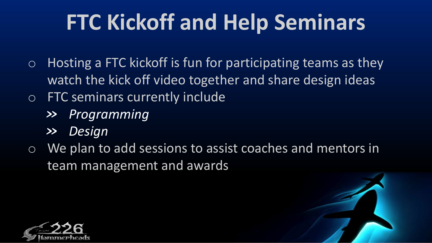# **FTC Kickoff and Help Seminars**

- $\circ$  Hosting a FTC kickoff is fun for participating teams as they watch the kick off video together and share design ideas
- o FTC seminars currently include
	- *» Programming*
	- *» Design*
- o We plan to add sessions to assist coaches and mentors in team management and awards

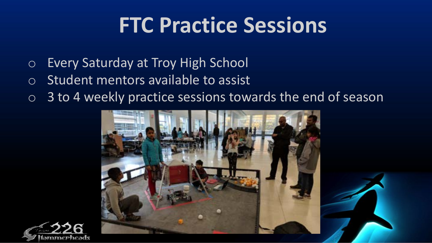#### **FTC Practice Sessions**

- o Every Saturday at Troy High School
- o Student mentors available to assist
- o 3 to 4 weekly practice sessions towards the end of season



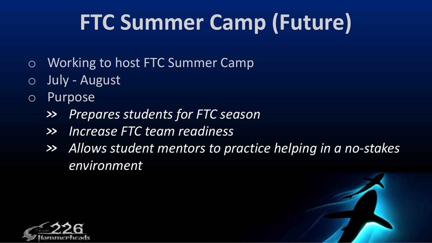# **FTC Summer Camp (Future)**

- o Working to host FTC Summer Camp
- o July August
- o Purpose
	- *» Prepares students for FTC season*
	- *» Increase FTC team readiness*
	- *» Allows student mentors to practice helping in a no-stakes environment*



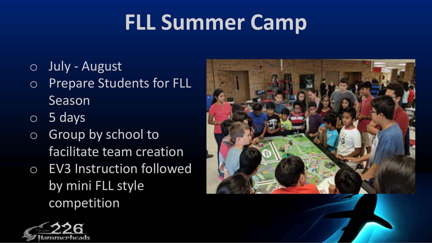# **FLL Summer Camp**

- o July August
- o Prepare Students for FLL Season
- o 5 days
- o Group by school to facilitate team creation
- o EV3 Instruction followed by mini FLL style competition



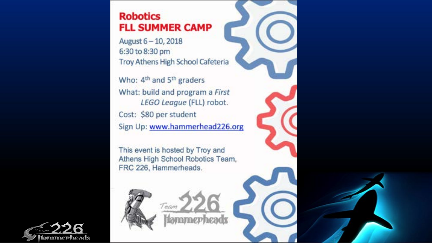#### **Robotics FLL SUMMER CAMP**

August 6-10, 2018 6:30 to 8:30 pm Troy Athens High School Cafeteria

Who: 4<sup>th</sup> and 5<sup>th</sup> graders What: build and program a First LEGO League (FLL) robot. Cost: \$80 per student Sign Up: www.hammerhead226.org

This event is hosted by Troy and Athens High School Robotics Team, FRC 226, Hammerheads.



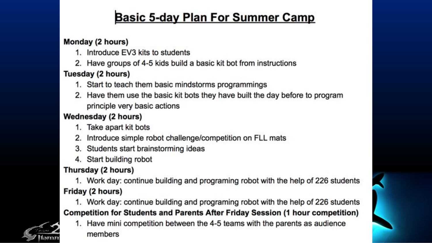#### **Basic 5-day Plan For Summer Camp**

#### Monday (2 hours)

- 1. Introduce EV3 kits to students
- 2. Have groups of 4-5 kids build a basic kit bot from instructions

#### Tuesday (2 hours)

- 1. Start to teach them basic mindstorms programmings
- 2. Have them use the basic kit bots they have built the day before to program principle very basic actions

#### **Wednesday (2 hours)**

- 1. Take apart kit bots
- 2. Introduce simple robot challenge/competition on FLL mats
- 3. Students start brainstorming ideas
- 4. Start building robot

#### Thursday (2 hours)

1. Work day: continue building and programing robot with the help of 226 students Friday (2 hours)

1. Work day: continue building and programing robot with the help of 226 students **Competition for Students and Parents After Friday Session (1 hour competition)** 

1. Have mini competition between the 4-5 teams with the parents as audience members



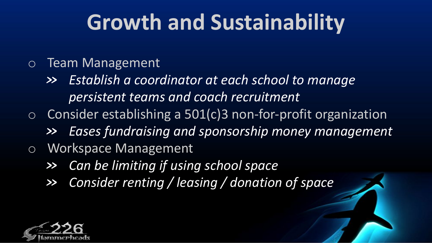## **Growth and Sustainability**

- o Team Management
	- *» Establish a coordinator at each school to manage persistent teams and coach recruitment*
- o Consider establishing a 501(c)3 non-for-profit organization
	- *» Eases fundraising and sponsorship money management*
- o Workspace Management
	- *» Can be limiting if using school space*
	- *» Consider renting / leasing / donation of space*

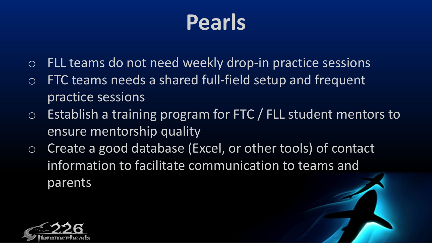#### **Pearls**

- o FLL teams do not need weekly drop-in practice sessions
- o FTC teams needs a shared full-field setup and frequent practice sessions
- o Establish a training program for FTC / FLL student mentors to ensure mentorship quality
- o Create a good database (Excel, or other tools) of contact information to facilitate communication to teams and parents

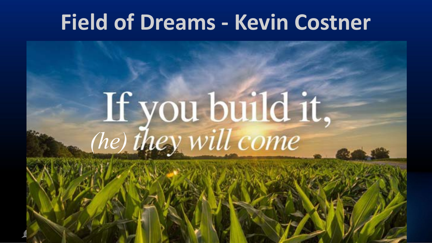#### **Field of Dreams - Kevin Costner**

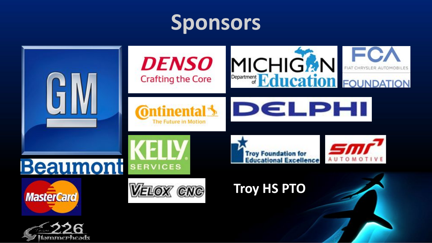#### **Sponsors**

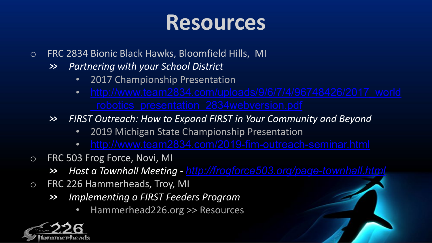#### **Resources**

- o FRC 2834 Bionic Black Hawks, Bloomfield Hills, MI
	- *» Partnering with your School District*
		- 2017 Championship Presentation
		- [http://www.team2834.com/uploads/9/6/7/4/96748426/2017\\_world](http://www.team2834.com/uploads/9/6/7/4/96748426/2017_world_robotics_presentation_2834webversion.pdf)
	- *» FIRST Outreach: How to Expand FIRST in Your Community and Beyond*
		- 2019 Michigan State Championship Presentation
		- <http://www.team2834.com/2019-fim-outreach-seminar.html>
- o FRC 503 Frog Force, Novi, MI
	- *» Host a Townhall Meeting <http://frogforce503.org/page-townhall.html>*
- o FRC 226 Hammerheads, Troy, MI
	- *» Implementing a FIRST Feeders Program*
		- Hammerhead226.org >> Resources